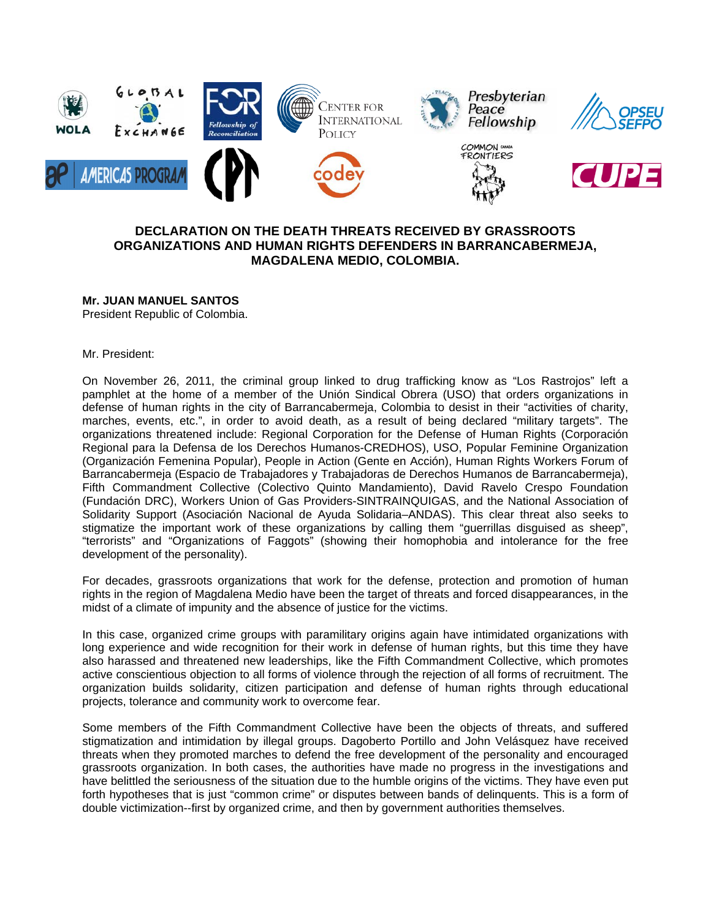

# **DECLARATION ON THE DEATH THREATS RECEIVED BY GRASSROOTS ORGANIZATIONS AND HUMAN RIGHTS DEFENDERS IN BARRANCABERMEJA, MAGDALENA MEDIO, COLOMBIA.**

# **Mr. JUAN MANUEL SANTOS**

President Republic of Colombia.

Mr. President:

On November 26, 2011, the criminal group linked to drug trafficking know as "Los Rastrojos" left a pamphlet at the home of a member of the Unión Sindical Obrera (USO) that orders organizations in defense of human rights in the city of Barrancabermeja, Colombia to desist in their "activities of charity, marches, events, etc.", in order to avoid death, as a result of being declared "military targets". The organizations threatened include: Regional Corporation for the Defense of Human Rights (Corporación Regional para la Defensa de los Derechos Humanos-CREDHOS), USO, Popular Feminine Organization (Organización Femenina Popular), People in Action (Gente en Acción), Human Rights Workers Forum of Barrancabermeja (Espacio de Trabajadores y Trabajadoras de Derechos Humanos de Barrancabermeja), Fifth Commandment Collective (Colectivo Quinto Mandamiento), David Ravelo Crespo Foundation (Fundación DRC), Workers Union of Gas Providers-SINTRAINQUIGAS, and the National Association of Solidarity Support (Asociación Nacional de Ayuda Solidaria–ANDAS). This clear threat also seeks to stigmatize the important work of these organizations by calling them "guerrillas disguised as sheep", "terrorists" and "Organizations of Faggots" (showing their homophobia and intolerance for the free development of the personality).

For decades, grassroots organizations that work for the defense, protection and promotion of human rights in the region of Magdalena Medio have been the target of threats and forced disappearances, in the midst of a climate of impunity and the absence of justice for the victims.

In this case, organized crime groups with paramilitary origins again have intimidated organizations with long experience and wide recognition for their work in defense of human rights, but this time they have also harassed and threatened new leaderships, like the Fifth Commandment Collective, which promotes active conscientious objection to all forms of violence through the rejection of all forms of recruitment. The organization builds solidarity, citizen participation and defense of human rights through educational projects, tolerance and community work to overcome fear.

Some members of the Fifth Commandment Collective have been the objects of threats, and suffered stigmatization and intimidation by illegal groups. Dagoberto Portillo and John Velásquez have received threats when they promoted marches to defend the free development of the personality and encouraged grassroots organization. In both cases, the authorities have made no progress in the investigations and have belittled the seriousness of the situation due to the humble origins of the victims. They have even put forth hypotheses that is just "common crime" or disputes between bands of delinquents. This is a form of double victimization--first by organized crime, and then by government authorities themselves.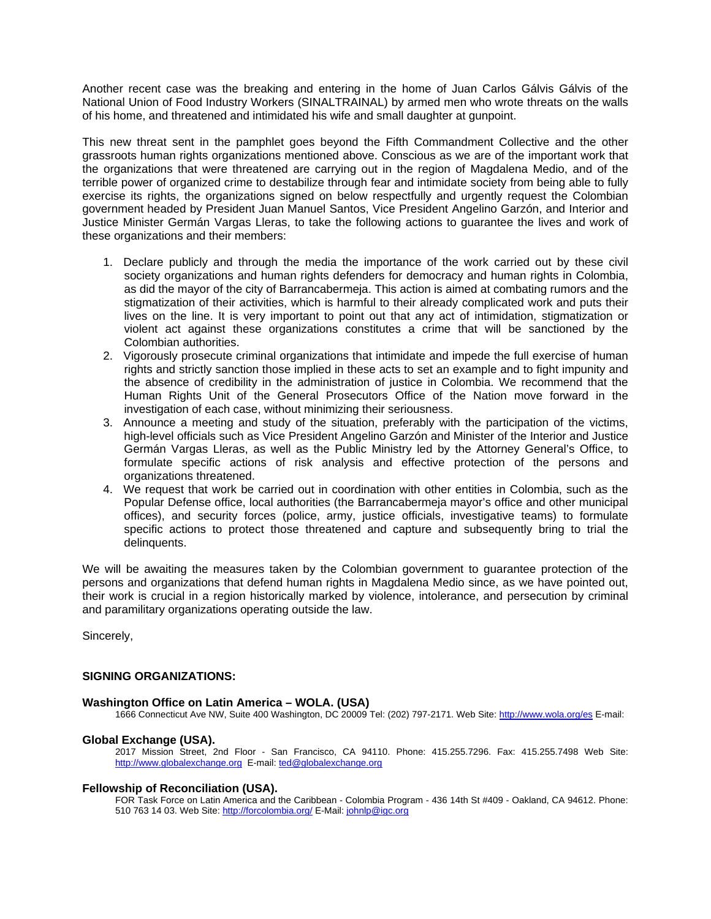Another recent case was the breaking and entering in the home of Juan Carlos Gálvis Gálvis of the National Union of Food Industry Workers (SINALTRAINAL) by armed men who wrote threats on the walls of his home, and threatened and intimidated his wife and small daughter at gunpoint.

This new threat sent in the pamphlet goes beyond the Fifth Commandment Collective and the other grassroots human rights organizations mentioned above. Conscious as we are of the important work that the organizations that were threatened are carrying out in the region of Magdalena Medio, and of the terrible power of organized crime to destabilize through fear and intimidate society from being able to fully exercise its rights, the organizations signed on below respectfully and urgently request the Colombian government headed by President Juan Manuel Santos, Vice President Angelino Garzón, and Interior and Justice Minister Germán Vargas Lleras, to take the following actions to guarantee the lives and work of these organizations and their members:

- 1. Declare publicly and through the media the importance of the work carried out by these civil society organizations and human rights defenders for democracy and human rights in Colombia, as did the mayor of the city of Barrancabermeja. This action is aimed at combating rumors and the stigmatization of their activities, which is harmful to their already complicated work and puts their lives on the line. It is very important to point out that any act of intimidation, stigmatization or violent act against these organizations constitutes a crime that will be sanctioned by the Colombian authorities.
- 2. Vigorously prosecute criminal organizations that intimidate and impede the full exercise of human rights and strictly sanction those implied in these acts to set an example and to fight impunity and the absence of credibility in the administration of justice in Colombia. We recommend that the Human Rights Unit of the General Prosecutors Office of the Nation move forward in the investigation of each case, without minimizing their seriousness.
- 3. Announce a meeting and study of the situation, preferably with the participation of the victims, high-level officials such as Vice President Angelino Garzón and Minister of the Interior and Justice Germán Vargas Lleras, as well as the Public Ministry led by the Attorney General's Office, to formulate specific actions of risk analysis and effective protection of the persons and organizations threatened.
- 4. We request that work be carried out in coordination with other entities in Colombia, such as the Popular Defense office, local authorities (the Barrancabermeja mayor's office and other municipal offices), and security forces (police, army, justice officials, investigative teams) to formulate specific actions to protect those threatened and capture and subsequently bring to trial the delinquents.

We will be awaiting the measures taken by the Colombian government to guarantee protection of the persons and organizations that defend human rights in Magdalena Medio since, as we have pointed out, their work is crucial in a region historically marked by violence, intolerance, and persecution by criminal and paramilitary organizations operating outside the law.

Sincerely,

# **SIGNING ORGANIZATIONS:**

# **Washington Office on Latin America – WOLA. (USA)**

1666 Connecticut Ave NW, Suite 400 Washington, DC 20009 Tel: (202) 797-2171. Web Site:<http://www.wola.org/es>E-mail:

# **Global Exchange (USA).**

2017 Mission Street, 2nd Floor - San Francisco, CA 94110. Phone: 415.255.7296. Fax: 415.255.7498 Web Site: [http://www.globalexchange.org](http://www.globalexchange.org/) E-mail: [ted@globalexchange.org](mailto:ted@globalexchange.org)

# **Fellowship of Reconciliation (USA).**

FOR Task Force on Latin America and the Caribbean - Colombia Program - 436 14th St #409 - Oakland, CA 94612. Phone: 510 763 14 03. Web Site: <http://forcolombia.org/> E-Mail: [johnlp@igc.org](mailto:johnlp@igc.org)